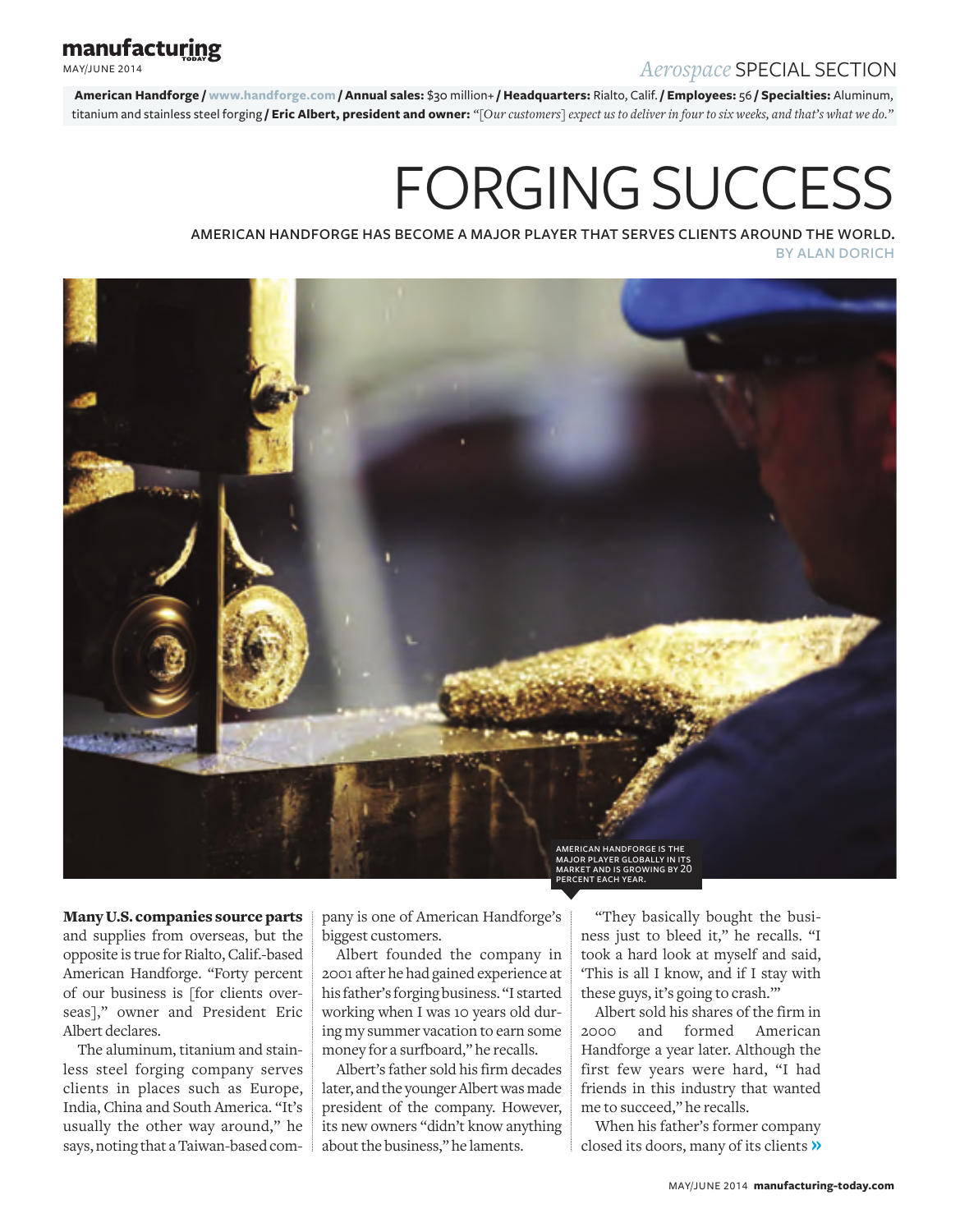## *Aerospace* SPECIAL SECTION

manufacturing

MAY/JUNE 2014

**American Handforge / www.handforge.com / Annual sales:** \$30 million+ **/ Headquarters:** Rialto, Calif. **/ Employees:** 56 **/ Specialties:** Aluminum, titanium and stainless steel forging **/ Eric Albert, president and owner:** *"[Our customers] expect us to deliver in four to six weeks, and that's what we do."*

# FORGING SUCCESS

american handforge has become a major player that serves clients around the world. by alan dorich



Many U.S. companies source parts and supplies from overseas, but the opposite is true for Rialto, Calif.-based American Handforge. "Forty percent of our business is [for clients overseas]," owner and President Eric Albert declares.

The aluminum, titanium and stainless steel forging company serves clients in places such as Europe, India, China and South America. "It's usually the other way around," he says, noting that a Taiwan-based company is one of American Handforge's biggest customers.

Albert founded the company in 2001 after he had gained experience at his father's forging business. "I started working when I was 10 years old during my summer vacation to earn some money for a surfboard," he recalls.

Albert's father sold his firm decades later, and the younger Albert was made president of the company. However, its new owners "didn't know anything about the business," he laments.

"They basically bought the business just to bleed it," he recalls. "I took a hard look at myself and said, 'This is all I know, and if I stay with these guys, it's going to crash.'"

Albert sold his shares of the firm in 2000 and formed American Handforge a year later. Although the first few years were hard, "I had friends in this industry that wanted me to succeed," he recalls.

When his father's former company closed its doors, many of its clients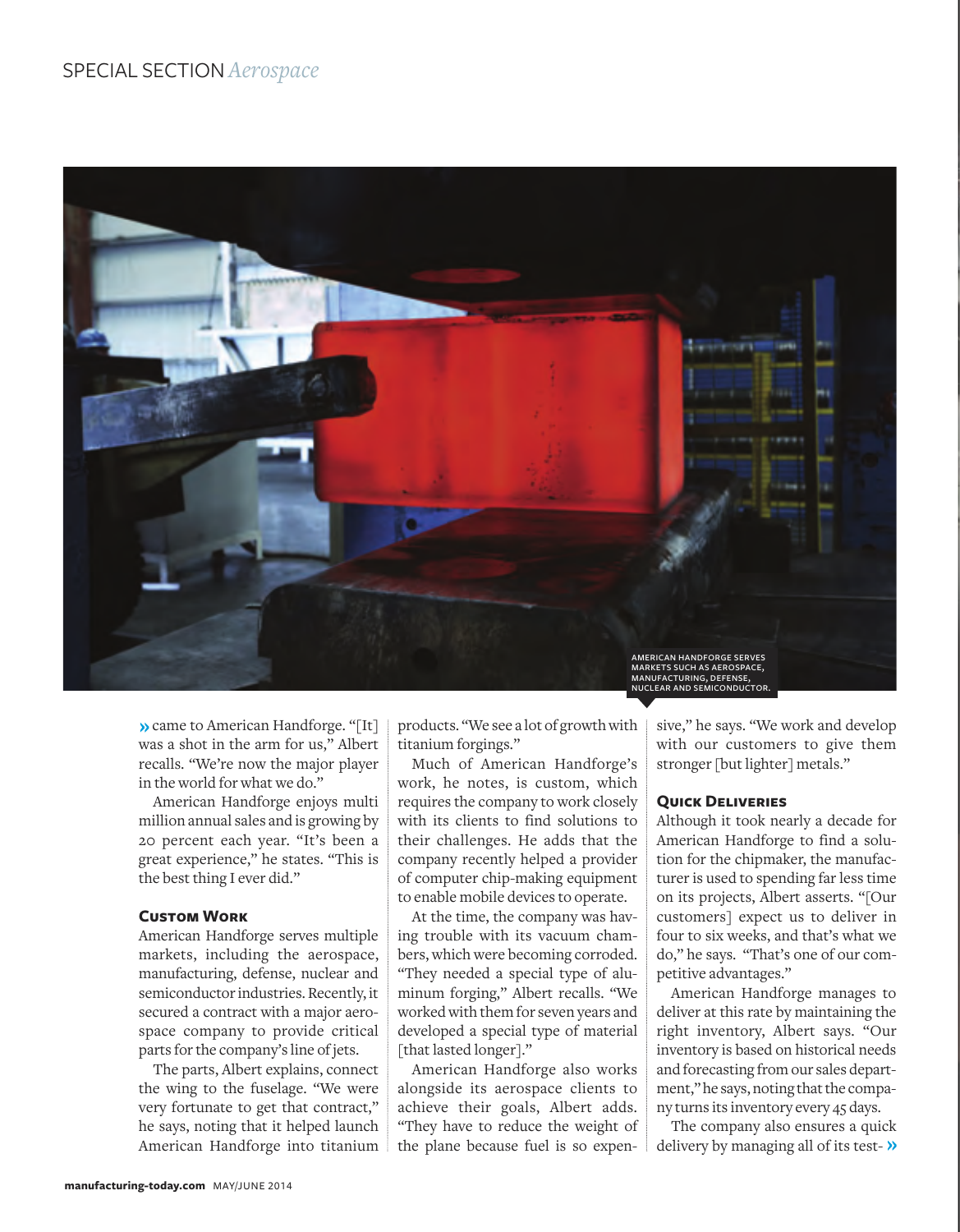## SPECIAL SECTION *Aerospace*



came to American Handforge. "[It] was a shot in the arm for us," Albert recalls. "We're now the major player in the world for what we do."

American Handforge enjoys multi million annual sales and is growing by 20 percent each year. "It's been a great experience," he states. "This is the best thing I ever did."

#### **Custom Work**

American Handforge serves multiple markets, including the aerospace, manufacturing, defense, nuclear and semiconductor industries. Recently, it secured a contract with a major aerospace company to provide critical parts for the company's line of jets.

The parts, Albert explains, connect the wing to the fuselage. "We were very fortunate to get that contract," he says, noting that it helped launch American Handforge into titanium products. "We see a lot of growth with titanium forgings."

Much of American Handforge's work, he notes, is custom, which requires the company to work closely with its clients to find solutions to their challenges. He adds that the company recently helped a provider of computer chip-making equipment to enable mobile devices to operate.

At the time, the company was having trouble with its vacuum chambers, which were becoming corroded. "They needed a special type of aluminum forging," Albert recalls. "We worked with them for seven years and developed a special type of material [that lasted longer]."

American Handforge also works alongside its aerospace clients to achieve their goals, Albert adds. "They have to reduce the weight of the plane because fuel is so expensive," he says. "We work and develop with our customers to give them stronger [but lighter] metals."

#### **Quick Deliveries**

Although it took nearly a decade for American Handforge to find a solution for the chipmaker, the manufacturer is used to spending far less time on its projects, Albert asserts. "[Our customers] expect us to deliver in four to six weeks, and that's what we do," he says. "That's one of our competitive advantages."

American Handforge manages to deliver at this rate by maintaining the right inventory, Albert says. "Our inventory is based on historical needs and forecasting from our sales department," he says, noting that the company turns its inventory every 45 days.

The company also ensures a quick delivery by managing all of its test- $\lambda$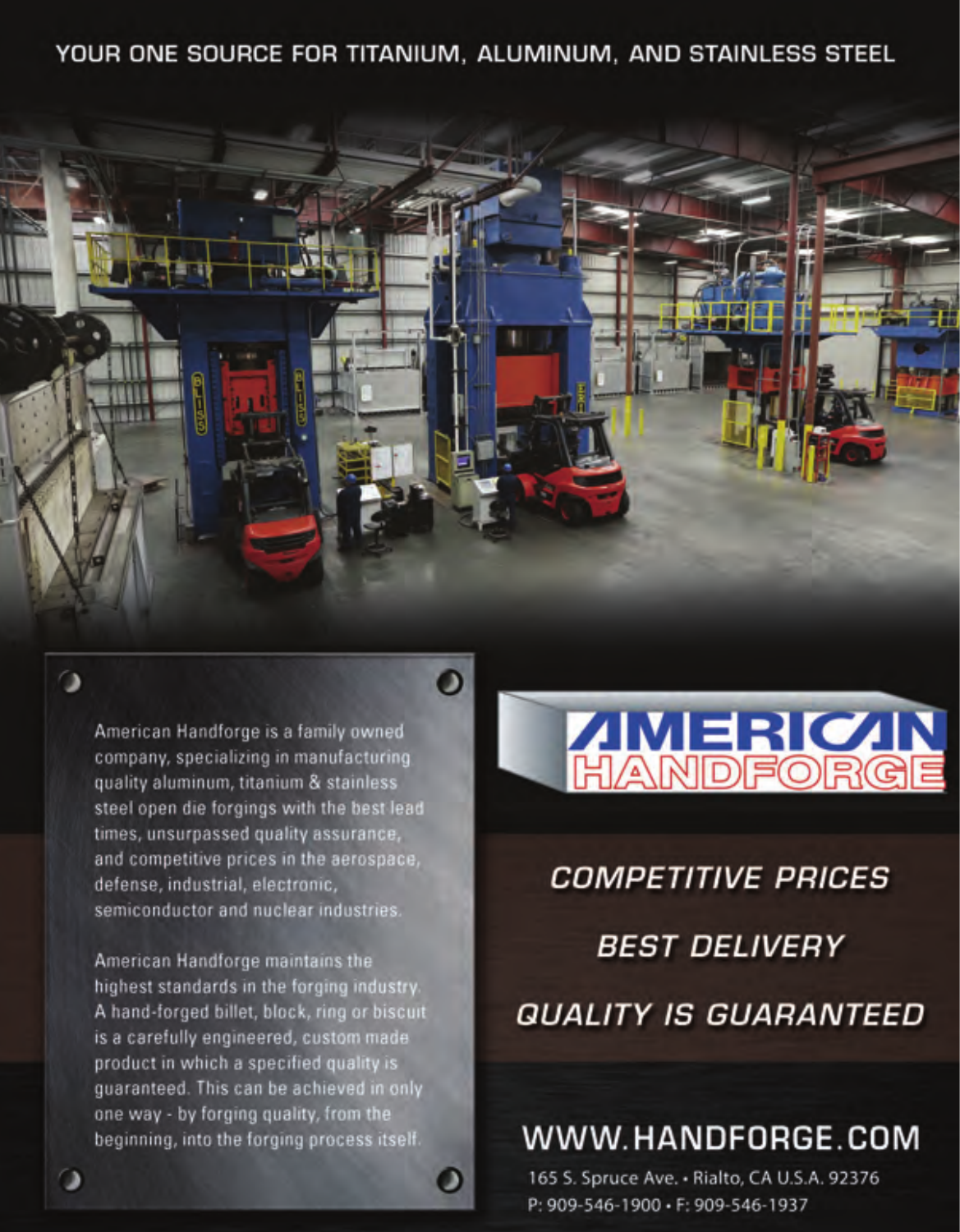YOUR ONE SOURCE FOR TITANIUM, ALUMINUM, AND STAINLESS STEEL



 $\bullet$ 

American Handforge is a family owned company, specializing in manufacturing quality aluminum, titanium & stainless steel open die forgings with the best lead times, unsurpassed quality assurance, and competitive prices in the aerospace, defense, industrial, electronic, semiconductor and nuclear industries.

 $\alpha$ 

American Handforge maintains the highest standards in the forging industry. A hand-forged billet, block, ring or biscuit is a carefully engineered, custom made product in which a specified quality is guaranteed. This can be achieved in only one way - by forging quality, from the beginning, into the forging process itself.



**COMPETITIVE PRICES** 

*BEST DELIVERY* 

**QUALITY IS GUARANTEED** 

WWW.HANDFORGE.COM

165 S. Spruce Ave. - Rialto, CA U.S.A. 92376 P: 909-546-1900 · F: 909-546-1937